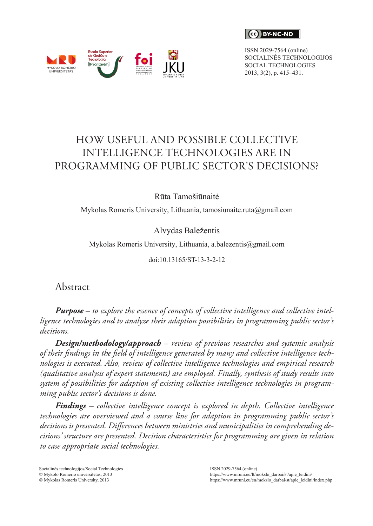**CC** BY-NC-ND

ISSN 2029-7564 (online) SOCIALINĖS TECHNOLOGIJOS SOCIAL TECHNOLOGIES 2013, 3(2), p. 415–431.



# HOW USEFUL AND POSSIBLE COLLECTIVE INTELLIGENCE TECHNOLOGIES ARE IN PROGRAMMING OF PUBLIC SECTOR'S DECISIONS?

#### Rūta Tamošiūnaitė

Mykolas Romeris University, Lithuania, [tamosiunaite.ruta@gmail.com](mailto:tamosiunaite.ruta@gmail.com)

#### Alvydas Baležentis

Mykolas Romeris University, Lithuania, [a.balezentis@gmail.com](mailto:a.balezentis@gmail.com)

doi:10.13165/ST-13-3-2-12

Abstract

*Purpose – to explore the essence of concepts of collective intelligence and collective intelligence technologies and to analyze their adaption possibilities in programming public sector's decisions.* 

*Design/methodology/approach – review of previous researches and systemic analysis of their findings in the field of intelligence generated by many and collective intelligence technologies is executed. Also, review of collective intelligence technologies and empirical research (qualitative analysis of expert statements) are employed. Finally, synthesis of study results into system of possibilities for adaption of existing collective intelligence technologies in programming public sector's decisions is done.* 

*Findings – collective intelligence concept is explored in depth. Collective intelligence technologies are overviewed and a course line for adaption in programming public sector's decisions is presented. Differences between ministries and municipalities in comprehending decisions' structure are presented. Decision characteristics for programming are given in relation to case appropriate social technologies.* 

Socialinės technologijos/Social Technologies

 $© Mykolo$  Romerio universitetas, 2013

 $\circ$  Mykolas Romeris University, 2013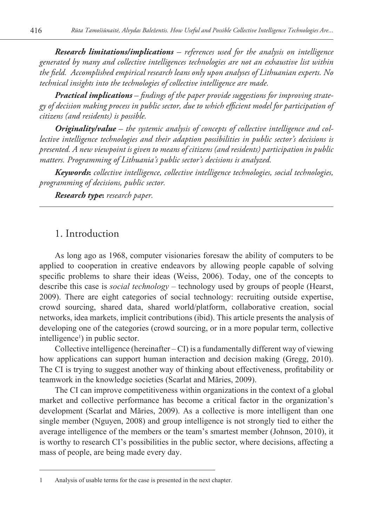*Research limitations/implications – references used for the analysis on intelligence generated by many and collective intelligences technologies are not an exhaustive list within the field. Accomplished empirical research leans only upon analyses of Lithuanian experts. No technical insights into the technologies of collective intelligence are made.* 

*Practical implications – findings of the paper provide suggestions for improving strategy of decision making process in public sector, due to which efficient model for participation of citizens (and residents) is possible.* 

*Originality/value – the systemic analysis of concepts of collective intelligence and collective intelligence technologies and their adaption possibilities in public sector's decisions is presented. A new viewpoint is given to means of citizens (and residents) participation in public matters. Programming of Lithuania's public sector's decisions is analyzed.*

*Keywords***:** *collective intelligence, collective intelligence technologies, social technologies, programming of decisions, public sector.* 

*Research type***:** *research paper.*

#### 1. Introduction

As long ago as 1968, computer visionaries foresaw the ability of computers to be applied to cooperation in creative endeavors by allowing people capable of solving specific problems to share their ideas (Weiss, 2006). Today, one of the concepts to describe this case is *social technology* – technology used by groups of people (Hearst, 2009). There are eight categories of social technology: recruiting outside expertise, crowd sourcing, shared data, shared world/platform, collaborative creation, social networks, idea markets, implicit contributions (ibid). This article presents the analysis of developing one of the categories (crowd sourcing, or in a more popular term, collective intelligence<sup>1</sup>) in public sector.

Collective intelligence (hereinafter  $-CI$ ) is a fundamentally different way of viewing how applications can support human interaction and decision making (Gregg, 2010). The CI is trying to suggest another way of thinking about effectiveness, profitability or teamwork in the knowledge societies (Scarlat and Măries, 2009).

The CI can improve competitiveness within organizations in the context of a global market and collective performance has become a critical factor in the organization's development (Scarlat and Măries, 2009). As a collective is more intelligent than one single member (Nguyen, 2008) and group intelligence is not strongly tied to either the average intelligence of the members or the team's smartest member (Johnson, 2010), it is worthy to research CI's possibilities in the public sector, where decisions, affecting a mass of people, are being made every day.

<sup>1</sup> Analysis of usable terms for the case is presented in the next chapter.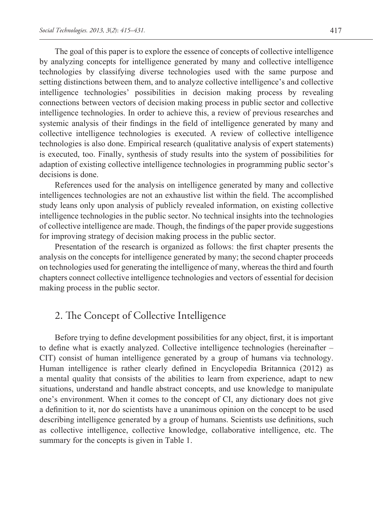The goal of this paper is to explore the essence of concepts of collective intelligence by analyzing concepts for intelligence generated by many and collective intelligence technologies by classifying diverse technologies used with the same purpose and setting distinctions between them, and to analyze collective intelligence's and collective intelligence technologies' possibilities in decision making process by revealing connections between vectors of decision making process in public sector and collective intelligence technologies. In order to achieve this, a review of previous researches and systemic analysis of their findings in the field of intelligence generated by many and collective intelligence technologies is executed. A review of collective intelligence technologies is also done. Empirical research (qualitative analysis of expert statements) is executed, too. Finally, synthesis of study results into the system of possibilities for adaption of existing collective intelligence technologies in programming public sector's decisions is done.

References used for the analysis on intelligence generated by many and collective intelligences technologies are not an exhaustive list within the field. The accomplished study leans only upon analysis of publicly revealed information, on existing collective intelligence technologies in the public sector. No technical insights into the technologies of collective intelligence are made. Though, the findings of the paper provide suggestions for improving strategy of decision making process in the public sector.

Presentation of the research is organized as follows: the first chapter presents the analysis on the concepts for intelligence generated by many; the second chapter proceeds on technologies used for generating the intelligence of many, whereas the third and fourth chapters connect collective intelligence technologies and vectors of essential for decision making process in the public sector.

# 2. The Concept of Collective Intelligence

Before trying to define development possibilities for any object, first, it is important to define what is exactly analyzed. Collective intelligence technologies (hereinafter – CIT) consist of human intelligence generated by a group of humans via technology. Human intelligence is rather clearly defined in Encyclopedia Britannica (2012) as a mental quality that consists of the abilities to learn from experience, adapt to new situations, understand and handle abstract concepts, and use knowledge to manipulate one's environment. When it comes to the concept of CI, any dictionary does not give a definition to it, nor do scientists have a unanimous opinion on the concept to be used describing intelligence generated by a group of humans. Scientists use definitions, such as collective intelligence, collective knowledge, collaborative intelligence, etc. The summary for the concepts is given in Table 1.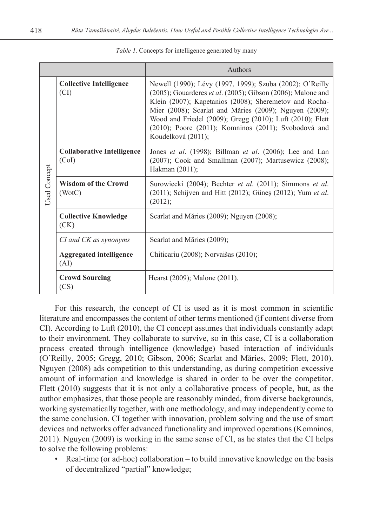|              |                                            | Authors                                                                                                                                                                                                                                                                                                                                                                                |  |  |  |  |
|--------------|--------------------------------------------|----------------------------------------------------------------------------------------------------------------------------------------------------------------------------------------------------------------------------------------------------------------------------------------------------------------------------------------------------------------------------------------|--|--|--|--|
| Used Concept | <b>Collective Intelligence</b><br>(CI)     | Newell (1990); Lévy (1997, 1999); Szuba (2002); O'Reilly<br>(2005); Gouarderes et al. (2005); Gibson (2006); Malone and<br>Klein (2007); Kapetanios (2008); Sheremetov and Rocha-<br>Mier (2008); Scarlat and Măries (2009); Nguyen (2009);<br>Wood and Friedel (2009); Gregg (2010); Luft (2010); Flett<br>(2010); Poore (2011); Komninos (2011); Svobodová and<br>Koudelková (2011); |  |  |  |  |
|              | <b>Collaborative Intelligence</b><br>(CoI) | Jones et al. (1998); Billman et al. (2006); Lee and Lan<br>(2007); Cook and Smallman (2007); Martusewicz (2008);<br>Hakman (2011);                                                                                                                                                                                                                                                     |  |  |  |  |
|              | <b>Wisdom of the Crowd</b><br>(WotC)       | Surowiecki (2004); Bechter et al. (2011); Simmons et al.<br>$(2011)$ ; Schijven and Hitt $(2012)$ ; Güneş $(2012)$ ; Yum et al.<br>(2012);                                                                                                                                                                                                                                             |  |  |  |  |
|              | <b>Collective Knowledge</b><br>(CK)        | Scarlat and Măries (2009); Nguyen (2008);                                                                                                                                                                                                                                                                                                                                              |  |  |  |  |
|              | CI and CK as synonyms                      | Scarlat and Măries (2009);                                                                                                                                                                                                                                                                                                                                                             |  |  |  |  |
|              | <b>Aggregated intelligence</b><br>(AI)     | Chiticariu (2008); Norvaišas (2010);                                                                                                                                                                                                                                                                                                                                                   |  |  |  |  |
|              | <b>Crowd Sourcing</b><br>(CS)              | Hearst (2009); Malone (2011).                                                                                                                                                                                                                                                                                                                                                          |  |  |  |  |

*Table 1.* Concepts for intelligence generated by many

For this research, the concept of CI is used as it is most common in scientific literature and encompasses the content of other terms mentioned (if content diverse from CI). According to Luft (2010), the CI concept assumes that individuals constantly adapt to their environment. They collaborate to survive, so in this case, CI is a collaboration process created through intelligence (knowledge) based interaction of individuals (O'Reilly, 2005; Gregg, 2010; Gibson, 2006; Scarlat and Măries, 2009; Flett, 2010). Nguyen (2008) ads competition to this understanding, as during competition excessive amount of information and knowledge is shared in order to be over the competitor. Flett (2010) suggests that it is not only a collaborative process of people, but, as the author emphasizes, that those people are reasonably minded, from diverse backgrounds, working systematically together, with one methodology, and may independently come to the same conclusion. CI together with innovation, problem solving and the use of smart devices and networks offer advanced functionality and improved operations (Komninos, 2011). Nguyen (2009) is working in the same sense of CI, as he states that the CI helps to solve the following problems:

• Real-time (or ad-hoc) collaboration – to build innovative knowledge on the basis of decentralized "partial" knowledge;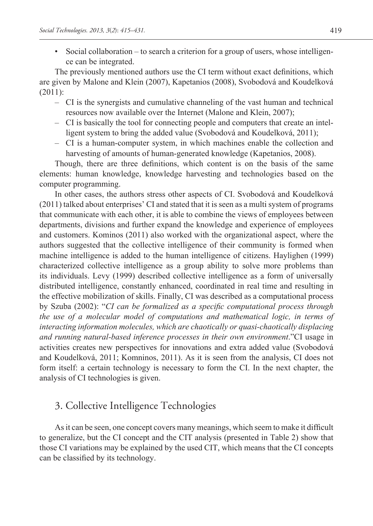• Social collaboration – to search a criterion for a group of users, whose intelligence can be integrated.

The previously mentioned authors use the CI term without exact definitions, which are given by Malone and Klein (2007), Kapetanios (2008), Svobodová and Koudelková (2011):

- CI is the synergists and cumulative channeling of the vast human and technical resources now available over the Internet (Malone and Klein, 2007);
- CI is basically the tool for connecting people and computers that create an intelligent system to bring the added value (Svobodová and Koudelková, 2011);
- CI is a human-computer system, in which machines enable the collection and harvesting of amounts of human-generated knowledge (Kapetanios, 2008).

Though, there are three definitions, which content is on the basis of the same elements: human knowledge, knowledge harvesting and technologies based on the computer programming.

In other cases, the authors stress other aspects of CI. Svobodová and Koudelková (2011) talked about enterprises' CI and stated that it is seen as a multi system of programs that communicate with each other, it is able to combine the views of employees between departments, divisions and further expand the knowledge and experience of employees and customers. Kominos (2011) also worked with the organizational aspect, where the authors suggested that the collective intelligence of their community is formed when machine intelligence is added to the human intelligence of citizens. Haylighen (1999) characterized collective intelligence as a group ability to solve more problems than its individuals. Levy (1999) described collective intelligence as a form of universally distributed intelligence, constantly enhanced, coordinated in real time and resulting in the effective mobilization of skills. Finally, CI was described as a computational process by Szuba (2002): "*CI can be formalized as a specific computational process through the use of a molecular model of computations and mathematical logic, in terms of interacting information molecules, which are chaotically or quasi-chaotically displacing and running natural-based inference processes in their own environment*."CI usage in activities creates new perspectives for innovations and extra added value (Svobodová and Koudelková, 2011; Komninos, 2011). As it is seen from the analysis, CI does not form itself: a certain technology is necessary to form the CI. In the next chapter, the analysis of CI technologies is given.

# 3. Collective Intelligence Technologies

As it can be seen, one concept covers many meanings, which seem to make it difficult to generalize, but the CI concept and the CIT analysis (presented in Table 2) show that those CI variations may be explained by the used CIT, which means that the CI concepts can be classified by its technology.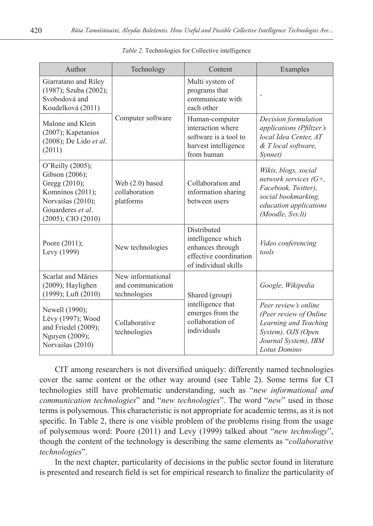| Author                                                                                                                                       | Technology                                                                                                | Content                                                                                                 | Examples                                                                                                                                     |
|----------------------------------------------------------------------------------------------------------------------------------------------|-----------------------------------------------------------------------------------------------------------|---------------------------------------------------------------------------------------------------------|----------------------------------------------------------------------------------------------------------------------------------------------|
| Giarratano and Riley<br>(1987); Szuba (2002);<br>Svobodová and<br>Koudelková (2011)                                                          |                                                                                                           | Multi system of<br>programs that<br>communicate with<br>each other                                      |                                                                                                                                              |
| Malone and Klein<br>(2007); Kapetanios<br>$(2008)$ ; De Lido et al.<br>(2011)                                                                | Computer software                                                                                         | Human-computer<br>interaction where<br>software is a tool to<br>harvest intelligence<br>from human      | Decision formulation<br>applications (Pfiltzer's<br>local Idea Center, AT<br>& T local software,<br>Synnet)                                  |
| O'Reilly (2005);<br>Gibson (2006);<br>Gregg (2010);<br>Komninos (2011);<br>Norvaišas (2010);<br>Gouarderes et al.<br>$(2005)$ ; CIO $(2010)$ | Web $(2.0)$ based<br>collaboration<br>platforms                                                           | Collaboration and<br>information sharing<br>between users                                               | Wikis, blogs, social<br>network services $(G^+,$<br>Facebook, Twitter),<br>social bookmarking,<br>education applications<br>(Moodle, Svs.lt) |
| Poore (2011);<br>Levy (1999)                                                                                                                 | New technologies                                                                                          | Distributed<br>intelligence which<br>enhances through<br>effective coordination<br>of individual skills | Video conferencing<br>tools                                                                                                                  |
| Scarlat and Măries<br>$(2009)$ ; Haylighen<br>(1999); Luft (2010)                                                                            | New informational<br>and communication<br>technologies                                                    | Shared (group)                                                                                          | Google, Wikipedia                                                                                                                            |
| Newell (1990);<br>Lévy (1997); Wood<br>and Friedel (2009);<br>Nguyen (2009);<br>Norvaišas (2010)                                             | intelligence that<br>emerges from the<br>collaboration of<br>Collaborative<br>individuals<br>technologies |                                                                                                         | Peer review's online<br>(Peer review of Online<br>Learning and Teaching<br>System), OJS (Open<br>Journal System), IBM<br>Lotus Domino        |

CIT among researchers is not diversified uniquely: differently named technologies cover the same content or the other way around (see Table 2). Some terms for CI technologies still have problematic understanding, such as "*new informational and communication technologies*" and "*new technologies*". The word "*new*" used in those terms is polysemous. This characteristic is not appropriate for academic terms, as it is not specific. In Table 2, there is one visible problem of the problems rising from the usage of polysemous word: Poore (2011) and Levy (1999) talked about "*new technology*", though the content of the technology is describing the same elements as "*collaborative technologies*".

In the next chapter, particularity of decisions in the public sector found in literature is presented and research field is set for empirical research to finalize the particularity of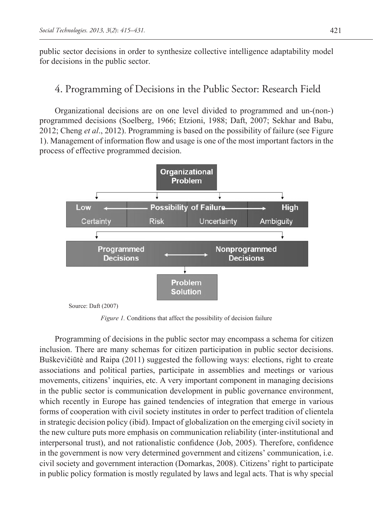public sector decisions in order to synthesize collective intelligence adaptability model for decisions in the public sector.

# 4. Programming of Decisions in the Public Sector: Research Field

Organizational decisions are on one level divided to programmed and un-(non-) programmed decisions (Soelberg, 1966; Etzioni, 1988; Daft, 2007; Sekhar and Babu, 2012; Cheng *et al*., 2012). Programming is based on the possibility of failure (see Figure 1). Management of information flow and usage is one of the most important factors in the process of effective programmed decision.



*Figure 1.* Conditions that affect the possibility of decision failure

Programming of decisions in the public sector may encompass a schema for citizen inclusion. There are many schemas for citizen participation in public sector decisions. Buškevičiūtė and Raipa (2011) suggested the following ways: elections, right to create associations and political parties, participate in assemblies and meetings or various movements, citizens' inquiries, etc. A very important component in managing decisions in the public sector is communication development in public governance environment, which recently in Europe has gained tendencies of integration that emerge in various forms of cooperation with civil society institutes in order to perfect tradition of clientela in strategic decision policy (ibid). Impact of globalization on the emerging civil society in the new culture puts more emphasis on communication reliability (inter-institutional and interpersonal trust), and not rationalistic confidence (Job, 2005). Therefore, confidence in the government is now very determined government and citizens' communication, i.e. civil society and government interaction (Domarkas, 2008). Citizens' right to participate in public policy formation is mostly regulated by laws and legal acts. That is why special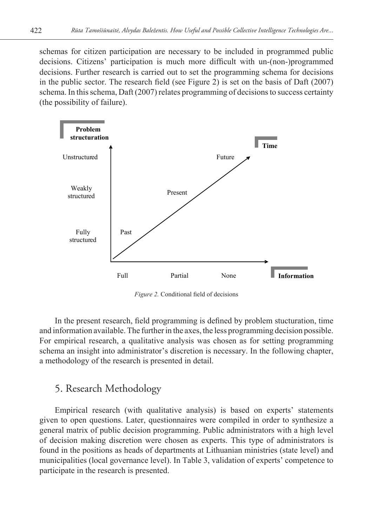schemas for citizen participation are necessary to be included in programmed public decisions. Citizens' participation is much more difficult with un-(non-)programmed decisions. Further research is carried out to set the programming schema for decisions in the public sector. The research field (see Figure 2) is set on the basis of Daft (2007) schema. In this schema, Daft (2007) relates programming of decisions to success certainty (the possibility of failure).



*Figure 2.* Conditional field of decisions

In the present research, field programming is defined by problem stucturation, time and information available. The further in the axes, the less programming decision possible. For empirical research, a qualitative analysis was chosen as for setting programming schema an insight into administrator's discretion is necessary. In the following chapter, a methodology of the research is presented in detail.

# 5. Research Methodology

Empirical research (with qualitative analysis) is based on experts' statements given to open questions. Later, questionnaires were compiled in order to synthesize a general matrix of public decision programming. Public administrators with a high level of decision making discretion were chosen as experts. This type of administrators is found in the positions as heads of departments at Lithuanian ministries (state level) and municipalities (local governance level). In Table 3, validation of experts' competence to participate in the research is presented.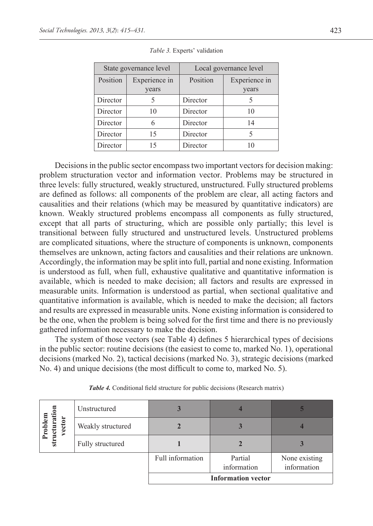|          | State governance level | Local governance level |               |  |
|----------|------------------------|------------------------|---------------|--|
| Position | Experience in          | Position               | Experience in |  |
|          | years                  |                        | years         |  |
| Director |                        | Director               |               |  |
| Director | 10                     | Director               | 10            |  |
| Director | 6                      | Director               | 14            |  |
| Director | 15                     | Director               | 5             |  |
| Director | 15                     | Director               | 10            |  |

| Table 3. Experts' validation |  |
|------------------------------|--|
|------------------------------|--|

Decisions in the public sector encompass two important vectors for decision making: problem structuration vector and information vector. Problems may be structured in three levels: fully structured, weakly structured, unstructured. Fully structured problems are defined as follows: all components of the problem are clear, all acting factors and causalities and their relations (which may be measured by quantitative indicators) are known. Weakly structured problems encompass all components as fully structured, except that all parts of structuring, which are possible only partially; this level is transitional between fully structured and unstructured levels. Unstructured problems are complicated situations, where the structure of components is unknown, components themselves are unknown, acting factors and causalities and their relations are unknown. Accordingly, the information may be split into full, partial and none existing. Information is understood as full, when full, exhaustive qualitative and quantitative information is available, which is needed to make decision; all factors and results are expressed in measurable units. Information is understood as partial, when sectional qualitative and quantitative information is available, which is needed to make the decision; all factors and results are expressed in measurable units. None existing information is considered to be the one, when the problem is being solved for the first time and there is no previously gathered information necessary to make the decision.

The system of those vectors (see Table 4) defines 5 hierarchical types of decisions in the public sector: routine decisions (the easiest to come to, marked No. 1), operational decisions (marked No. 2), tactical decisions (marked No. 3), strategic decisions (marked No. 4) and unique decisions (the most difficult to come to, marked No. 5).

|                                             | Unstructured      |                  |                           |                              |
|---------------------------------------------|-------------------|------------------|---------------------------|------------------------------|
| $\overline{5}$<br>vector<br>uctura<br>Probl | Weakly structured |                  |                           |                              |
| ξtη                                         | Fully structured  |                  |                           |                              |
|                                             |                   | Full information | Partial<br>information    | None existing<br>information |
|                                             |                   |                  | <b>Information vector</b> |                              |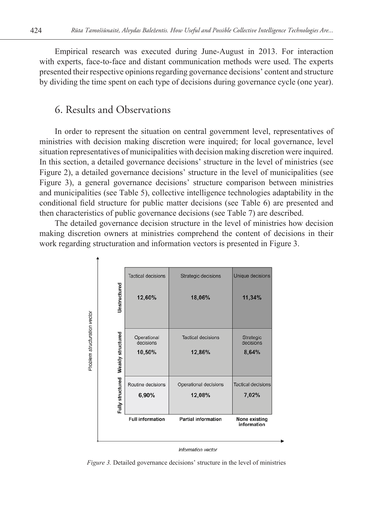Empirical research was executed during June-August in 2013. For interaction with experts, face-to-face and distant communication methods were used. The experts presented their respective opinions regarding governance decisions' content and structure by dividing the time spent on each type of decisions during governance cycle (one year).

### 6. Results and Observations

In order to represent the situation on central government level, representatives of ministries with decision making discretion were inquired; for local governance, level situation representatives of municipalities with decision making discretion were inquired. In this section, a detailed governance decisions' structure in the level of ministries (see Figure 2), a detailed governance decisions' structure in the level of municipalities (see Figure 3), a general governance decisions' structure comparison between ministries and municipalities (see Table 5), collective intelligence technologies adaptability in the conditional field structure for public matter decisions (see Table 6) are presented and then characteristics of public governance decisions (see Table 7) are described.

The detailed governance decision structure in the level of ministries how decision making discretion owners at ministries comprehend the content of decisions in their work regarding structuration and information vectors is presented in Figure 3.



*Figure 3.* Detailed governance decisions' structure in the level of ministries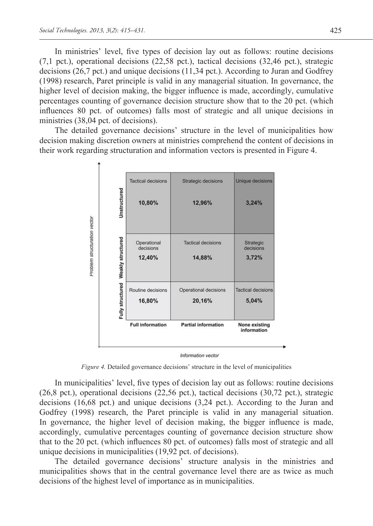In ministries' level, five types of decision lay out as follows: routine decisions (7,1 pct.), operational decisions (22,58 pct.), tactical decisions (32,46 pct.), strategic decisions (26,7 pct.) and unique decisions (11,34 pct.). According to Juran and Godfrey (1998) research, Paret principle is valid in any managerial situation. In governance, the higher level of decision making, the bigger influence is made, accordingly, cumulative percentages counting of governance decision structure show that to the 20 pct. (which influences 80 pct. of outcomes) falls most of strategic and all unique decisions in ministries (38,04 pct. of decisions).

The detailed governance decisions' structure in the level of municipalities how decision making discretion owners at ministries comprehend the content of decisions in their work regarding structuration and information vectors is presented in Figure 4.



*Figure 4.* Detailed governance decisions' structure in the level of municipalities

In municipalities' level, five types of decision lay out as follows: routine decisions (26,8 pct.), operational decisions (22,56 pct.), tactical decisions (30,72 pct.), strategic decisions (16,68 pct.) and unique decisions (3,24 pct.). According to the Juran and Godfrey (1998) research, the Paret principle is valid in any managerial situation. In governance, the higher level of decision making, the bigger influence is made, accordingly, cumulative percentages counting of governance decision structure show that to the 20 pct. (which influences 80 pct. of outcomes) falls most of strategic and all unique decisions in municipalities (19,92 pct. of decisions).

The detailed governance decisions' structure analysis in the ministries and municipalities shows that in the central governance level there are as twice as much decisions of the highest level of importance as in municipalities.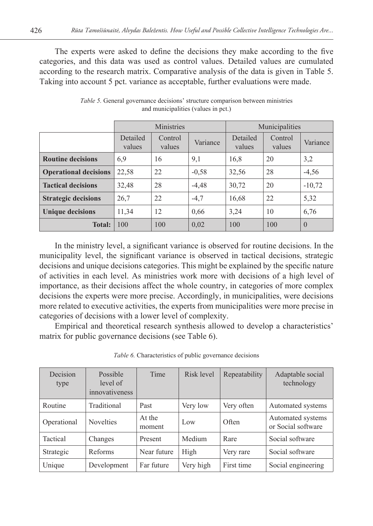The experts were asked to define the decisions they make according to the five categories, and this data was used as control values. Detailed values are cumulated according to the research matrix. Comparative analysis of the data is given in Table 5. Taking into account 5 pct. variance as acceptable, further evaluations were made.

|                              | Ministries         |                   |          | Municipalities     |                   |                |
|------------------------------|--------------------|-------------------|----------|--------------------|-------------------|----------------|
|                              | Detailed<br>values | Control<br>values | Variance | Detailed<br>values | Control<br>values | Variance       |
| <b>Routine decisions</b>     | 6.9                | 16                | 9,1      | 16.8               | 20                | 3,2            |
| <b>Operational decisions</b> | 22,58              | 22                | $-0.58$  | 32,56              | 28                | $-4,56$        |
| <b>Tactical decisions</b>    | 32,48              | 28                | $-4,48$  | 30,72              | 20                | $-10,72$       |
| <b>Strategic decisions</b>   | 26,7               | 22                | $-4,7$   | 16,68              | 22                | 5,32           |
| <b>Unique decisions</b>      | 11,34              | 12                | 0.66     | 3,24               | 10                | 6,76           |
| <b>Total:</b>                | 100                | 100               | 0.02     | 100                | 100               | $\overline{0}$ |

*Table 5.* General governance decisions' structure comparison between ministries and municipalities (values in pct.)

In the ministry level, a significant variance is observed for routine decisions. In the municipality level, the significant variance is observed in tactical decisions, strategic decisions and unique decisions categories. This might be explained by the specific nature of activities in each level. As ministries work more with decisions of a high level of importance, as their decisions affect the whole country, in categories of more complex decisions the experts were more precise. Accordingly, in municipalities, were decisions more related to executive activities, the experts from municipalities were more precise in categories of decisions with a lower level of complexity.

Empirical and theoretical research synthesis allowed to develop a characteristics' matrix for public governance decisions (see Table 6).

| <i>Table 6.</i> Characteristics of public governance decisions |  |  |
|----------------------------------------------------------------|--|--|
|----------------------------------------------------------------|--|--|

| Decision<br>type | Possible<br>level of<br>innovativeness | Time             | Risk level | Repeatability | Adaptable social<br>technology          |
|------------------|----------------------------------------|------------------|------------|---------------|-----------------------------------------|
| Routine          | Traditional                            | Past             | Very low   | Very often    | Automated systems                       |
| Operational      | <b>Novelties</b>                       | At the<br>moment | Low        | Often         | Automated systems<br>or Social software |
| Tactical         | Changes                                | Present          | Medium     | Rare          | Social software                         |
| Strategic        | Reforms                                | Near future      | High       | Very rare     | Social software                         |
| Unique           | Development                            | Far future       | Very high  | First time    | Social engineering                      |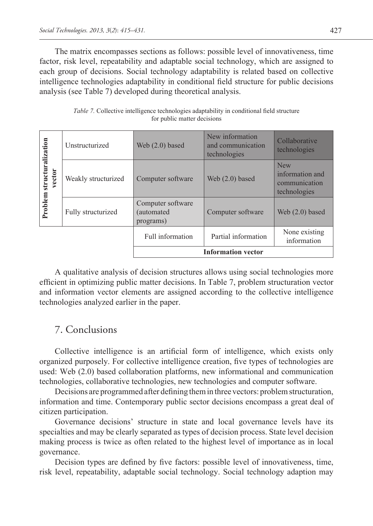The matrix encompasses sections as follows: possible level of innovativeness, time factor, risk level, repeatability and adaptable social technology, which are assigned to each group of decisions. Social technology adaptability is related based on collective intelligence technologies adaptability in conditional field structure for public decisions analysis (see Table 7) developed during theoretical analysis.

|                             | Unstructurized      | Web $(2.0)$ based                            | New information<br>and communication<br>technologies | Collaborative<br>technologies                                  |
|-----------------------------|---------------------|----------------------------------------------|------------------------------------------------------|----------------------------------------------------------------|
| structuralization<br>vector | Weakly structurized | Computer software                            | Web $(2.0)$ based                                    | <b>New</b><br>information and<br>communication<br>technologies |
| Problem                     | Fully structurized  | Computer software<br>(automated<br>programs) | Computer software                                    |                                                                |
|                             |                     | Full information                             | Partial information                                  | None existing<br>information                                   |
| <b>Information vector</b>   |                     |                                              |                                                      |                                                                |

*Table 7.* Collective intelligence technologies adaptability in conditional field structure for public matter decisions

A qualitative analysis of decision structures allows using social technologies more efficient in optimizing public matter decisions. In Table 7, problem structuration vector and information vector elements are assigned according to the collective intelligence technologies analyzed earlier in the paper.

### 7. Conclusions

Collective intelligence is an artificial form of intelligence, which exists only organized purposely. For collective intelligence creation, five types of technologies are used: Web (2.0) based collaboration platforms, new informational and communication technologies, collaborative technologies, new technologies and computer software.

Decisions are programmed after defining them in three vectors: problem structuration, information and time. Contemporary public sector decisions encompass a great deal of citizen participation.

Governance decisions' structure in state and local governance levels have its specialties and may be clearly separated as types of decision process. State level decision making process is twice as often related to the highest level of importance as in local governance.

Decision types are defined by five factors: possible level of innovativeness, time, risk level, repeatability, adaptable social technology. Social technology adaption may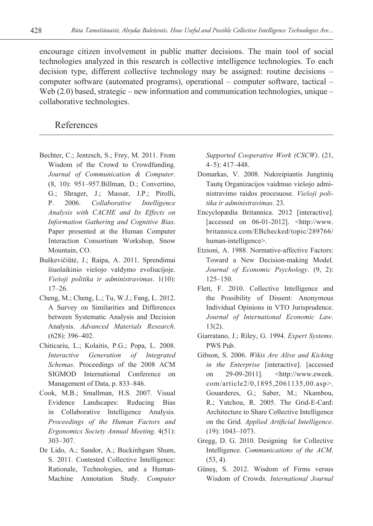encourage citizen involvement in public matter decisions. The main tool of social technologies analyzed in this research is collective intelligence technologies. To each decision type, different collective technology may be assigned: routine decisions – computer software (automated programs), operational – computer software, tactical – Web (2.0) based, strategic – new information and communication technologies, unique – collaborative technologies.

#### References

- Bechter, C.; Jentzsch, S.; Frey, M. 2011. From Wisdom of the Crowd to Crowdfunding. *Journal of Communication & Computer*. (8, 10): 951–957.Billman, D.; Convertino, G.; Shrager, J.; Massar, J.P.; Pirolli, P. 2006. *Collaborative Intelligence Analysis with CACHE and Its Effects on Information Gathering and Cognitive Bias*. Paper presented at the Human Computer Interaction Consortium Workshop, Snow Mountain, CO.
- Buškevičiūtė, J.; Raipa, A. 2011. Sprendimai šiuolaikinio viešojo valdymo evoliucijoje. *Viešoji politika ir administravimas*. 1(10): 17–26.
- Cheng, M.; Cheng, L.; Tu, W.J.; Fang, L. 2012. A Survey on Similarities and Differences between Systematic Analysis and Decision Analysis. *Advanced Materials Research*. (628): 396–402.
- Chiticariu, L.; Kolaitis, P.G.; Popa, L. 2008. *Interactive Generation of Integrated Schemas*. Proceedings of the 2008 ACM SIGMOD International Conference on Management of Data, p. 833–846.
- Cook, M.B.; Smallman, H.S. 2007. Visual Evidence Landscapes: Reducing Bias in Collaborative Intelligence Analysis*. Proceedings of the Human Factors and Ergonomics Society Annual Meeting*. 4(51): 303–307.
- De Lido, A.; Sandor, A.; Buckinhgam Shum, S. 2011. Contested Collective Intelligence: Rationale, Technologies, and a Human-Machine Annotation Study. *Computer*

*Supported Cooperative Work (CSCW)*. (21, 4–5): 417–448.

- Domarkas, V. 2008. Nukreipiantis Jungtinių Tautų Organizacijos vaidmuo viešojo administravimo raidos procesuose. *Viešoji politika ir administravimas*. 23.
- Encyclopædia Britannica. 2012 [interactive]. [accessed on  $06-01-2012$ ].  $\lt$ http://www. britannica.com/EBchecked/topic/289766/ human-intelligence>.
- Etzioni, A. 1988. Normative-affective Factors: Toward a New Decision-making Model. *Journal of Economic Psychology*. (9, 2): 125–150.
- Flett, F. 2010. Collective Intelligence and the Possibility of Dissent: Anonymous Individual Opinions in VTO Jurisprudence. *Journal of International Economic Law*. 13(2).
- Giarratano, J.; Riley, G. 1994. *Expert Systems*. PWS Pub.
- Gibson, S. 2006. *Wikis Are Alive and Kicking in the Enterprise* [interactive]. [accessed on 29-09-2011]. <[http://www.eweek.](http://www.eweek.com/article2/0,1895,2061135,00.asp) [com/article2/0,1895,2061135,00.asp>](http://www.eweek.com/article2/0,1895,2061135,00.asp). Gouarderes, G.; Saber, M.; Nkambou, R.; Yatchou, R. 2005. The Grid-E-Card: Architecture to Share Collective Intelligence on the Grid*. Applied Artificial Intelligence*. (19): 1043–1073.
- Gregg, D. G. 2010. Designing for Collective Intelligence. *Communications of the ACM*.  $(53, 4)$ .
- Güneş, S. 2012. Wisdom of Firms versus Wisdom of Crowds. *International Journal*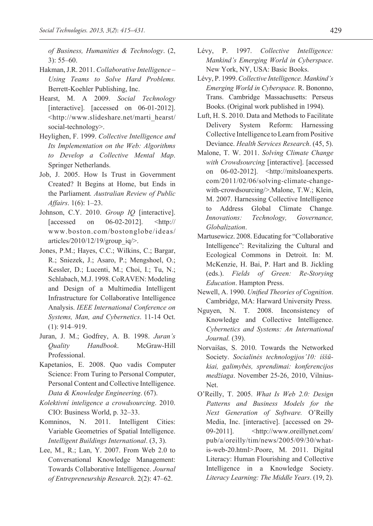*of Business, Humanities & Technology*. (2, 3): 55–60.

- Hakman, J.R. 2011. *Collaborative Intelligence Using Teams to Solve Hard Problems.* Berrett-Koehler Publishing, Inc.
- Hearst, M. A 2009. *Social Technology* [interactive]. [accessed on 06-01-2012]. <http://www.slideshare.net/marti\_hearst/ social-technology>.
- Heylighen, F. 1999. *Collective Intelligence and Its Implementation on the Web: Algorithms to Develop a Collective Mental Map*. Springer Netherlands.
- Job, J. 2005. How Is Trust in Government Created? It Begins at Home, but Ends in the Parliament*. Australian Review of Public Affairs*. 1(6): 1–23.
- Johnson, C.Y. 2010. *Group IQ* [interactive]. [accessed on 06-02-2012]. <http:// www.boston.com/bostonglobe/ideas/ articles/2010/12/19/group\_iq/>.
- Jones, P.M.; Hayes, C.C.; Wilkins, C.; Bargar, R.; Sniezek, J.; Asaro, P.; Mengshoel, O.; Kessler, D.; Lucenti, M.; Choi, I.; Tu, N.; Schlabach, M.J. 1998. CoRAVEN: Modeling and Design of a Multimedia Intelligent Infrastructure for Collaborative Intelligence Analysis. *IEEE International Conference on Systems, Man, and Cybernetics*. 11-14 Oct. (1): 914–919.
- Juran, J. M.; Godfrey, A. B. 1998. *Juran's Quality Handbook*. McGraw-Hill Professional.
- Kapetanios, E. 2008. Quo vadis Computer Science: From Turing to Personal Computer, Personal Content and Collective Intelligence. *Data & Knowledge Engineering*. (67).
- *Kolektivní inteligence a crowdsourcing*. 2010. CIO: Business World, p. 32–33.
- Komninos, N. 2011. Intelligent Cities: Variable Geometries of Spatial Intelligence. *Intelligent Buildings International*. (3, 3).
- Lee, M., R.; Lan, Y. 2007. From Web 2.0 to Conversational Knowledge Management: Towards Collaborative Intelligence. *Journal of Entrepreneurship Research*. 2(2): 47–62.
- Lévy, P. 1997. *Collective Intelligence: Mankind's Emerging World in Cyberspace*. New York, NY, USA: Basic Books.
- Lévy, P. 1999. *Collective Intelligence. Mankind's Emerging World in Cyberspace.* R. Bononno, Trans. Cambridge Massachusetts: Perseus Books. (Original work published in 1994).
- Luft, H. S. 2010. Data and Methods to Facilitate Delivery System Reform: Harnessing Collective Intelligence to Learn from Positive Deviance. *Health Services Research*. (45, 5).
- Malone, T. W. 2011. *Solving Climate Change with Crowdsourcing* [interactive]. [accessed on 06-02-2012]. <http://mitsloanexperts. com/2011/02/06/solving-climate-changewith-crowdsourcing/>.Malone, T.W.; Klein, M. 2007. Harnessing Collective Intelligence to Address Global Climate Change*. Innovations: Technology, Governance, Globalization*.
- Martusewicz. 2008. Educating for "Collaborative Intelligence": Revitalizing the Cultural and Ecological Commons in Detroit. In: M. McKenzie, H. Bai, P. Hart and B. Jickling (eds.). *Fields of Green: Re-Storying Education*. Hampton Press.
- Newell, A. 1990. *Unified Theories of Cognition*. Cambridge, MA: Harward University Press.
- Nguyen, N. T. 2008. Inconsistency of Knowledge and Collective Intelligence. *Cybernetics and Systems: An International Journal.* (39).
- Norvaišas, S. 2010. Towards the Networked Society. *Socialinės technologijos'10: iššūkiai, galimybės, sprendimai: konferencijos medžiaga*. November 25-26, 2010, Vilnius-Net.
- O'Reilly, T. 2005. *What Is Web 2.0: Design Patterns and Business Models for the Next Generation of Software.* O'Reilly Media, Inc. [interactive]. [accessed on 29- 09-2011]. <http://www.oreillynet.com/ pub/a/oreilly/tim/news/2005/09/30/whatis-web-20.html>.Poore, M. 2011. Digital Literacy: Human Flourishing and Collective Intelligence in a Knowledge Society. *Literacy Learning: The Middle Years*. (19, 2).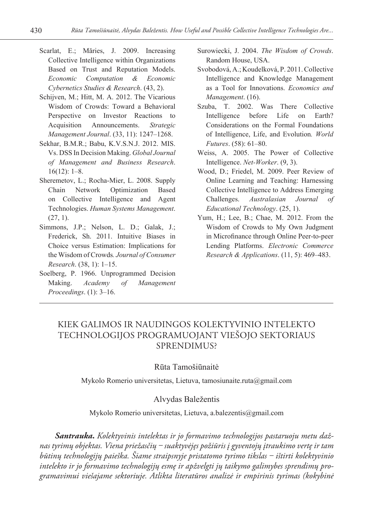- Scarlat, E.; Măries, J. 2009. Increasing Collective Intelligence within Organizations Based on Trust and Reputation Models. *Economic Computation & Economic Cybernetics Studies & Research*. (43, 2).
- Schijven, M.; Hitt, M. A. 2012. The Vicarious Wisdom of Crowds: Toward a Behavioral Perspective on Investor Reactions to Acquisition Announcements. *Strategic Management Journal*. (33, 11): 1247–1268.
- Sekhar, B.M.R.; Babu, K.V.S.N.J. 2012. MIS. Vs. DSS In Decision Making. *Global Journal of Management and Business Research*. 16(12): 1–8.
- Sheremetov, L.; Rocha-Mier, L. 2008. Supply Chain Network Optimization Based on Collective Intelligence and Agent Technologies. *Human Systems Management*.  $(27, 1)$ .
- Simmons, J.P.; Nelson, L. D.; Galak, J.; Frederick, Sh. 2011. Intuitive Biases in Choice versus Estimation: Implications for the Wisdom of Crowds*. Journal of Consumer Research*. (38, 1): 1–15.
- Soelberg, P. 1966. Unprogrammed Decision Making. *Academy of Management Proceedings*. (1): 3–16.
- Surowiecki, J. 2004. *The Wisdom of Crowds*. Random House, USA.
- Svobodová, A.; Koudelková, P. 2011. Collective Intelligence and Knowledge Management as a Tool for Innovations. *Economics and Management*. (16).
- Szuba, T. 2002. Was There Collective Intelligence before Life on Earth? Considerations on the Formal Foundations of Intelligence, Life, and Evolution*. World Futures*. (58): 61–80.
- Weiss, A. 2005. The Power of Collective Intelligence. *Net-Worker*. (9, 3).
- Wood, D.; Friedel, M. 2009. Peer Review of Online Learning and Teaching: Harnessing Collective Intelligence to Address Emerging Challenges. *Australasian Journal of Educational Technology*. (25, 1).
- Yum, H.; Lee, B.; Chae, M. 2012. From the Wisdom of Crowds to My Own Judgment in Microfinance through Online Peer-to-peer Lending Platforms. *Electronic Commerce Research & Applications*. (11, 5): 469–483.

# KIEK GALIMOS IR NAUDINGOS KOLEKTYVINIO INTELEKTO TECHNOLOGIJOS PROGRAMUOJANT VIEŠOJO SEKTORIAUS SPRENDIMUS?

#### Rūta Tamošiūnaitė

Mykolo Romerio universitetas, Lietuva, [tamosiunaite.ruta@gmail.com](mailto:tamosiunaite.ruta@gmail.com)

#### Alvydas Baležentis

Mykolo Romerio universitetas, Lietuva, [a.balezentis@gmail.com](mailto:a.balezentis@gmail.com)

*Santrauka***.** *Kolektyvinis intelektas ir jo formavimo technologijos pastaruoju metu dažnas tyrimų objektas. Viena priežasčių ‒ suaktyvėjęs požiūris į gyventojų įtraukimo vertę ir tam būtinų technologijų paieška. Šiame straipsnyje pristatomo tyrimo tikslas ‒ ištirti kolektyvinio intelekto ir jo formavimo technologijų esmę ir apžvelgti jų taikymo galimybes sprendimų programavimui viešajame sektoriuje. Atlikta literatūros analizė ir empirinis tyrimas (kokybinė*